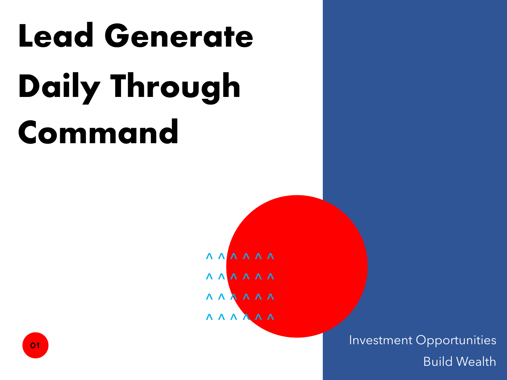# **Lead Generate Daily Through Command**

**AAAAA AAAAA AAAAA**  $\sqrt{X} \wedge \sqrt{Y} \wedge \sqrt{Y}$ 

> Investment Opportunities Build Wealth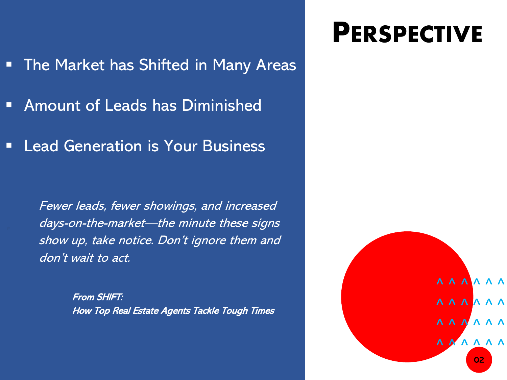- The Market has Shifted in Many Areas
- Amount of Leads has Diminished
- Lead Generation is Your Business

Fewer leads, fewer showings, and increased days-on-the-market—the minute these signs show up, take notice. Don't ignore them and don't wait to act.

> From SHIFT: How Top Real Estate Agents Tackle Tough Times

## **PERSPECTIVE**

Slide 2 ^ ^ ^ ^ ^ ^  $\begin{array}{c} A & A & A & A & A \\ \end{array}$  $\begin{array}{c} A & A & A & A & A \\ \end{array}$ **A A A A A A** 02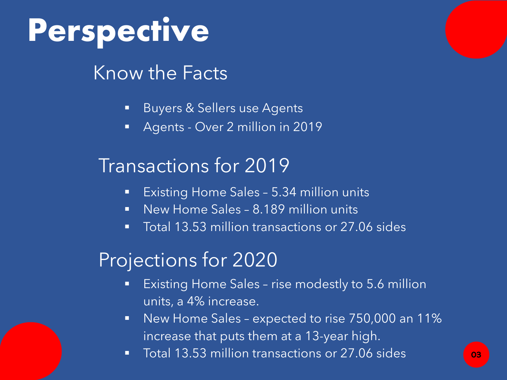# **Perspective**

### Know the Facts

#### **Buyers & Sellers use Agents**

**Agents - Over 2 million in 2019** 

### Transactions for 2019

- **Existing Home Sales 5.34 million units**
- **New Home Sales 8.189 million units**
- Total 13.53 million transactions or 27.06 sides

## Projections for 2020

- **Existing Home Sales rise modestly to 5.6 million** units, a 4% increase.
- New Home Sales expected to rise 750,000 an 11% increase that puts them at a 13-year high.
- **Total 13.53 million transactions or 27.06 sides**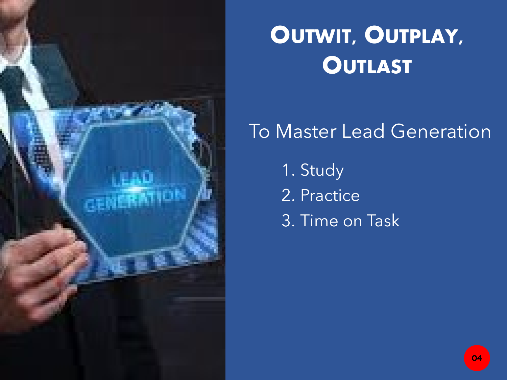

### To Master Lead Generation

1. Study 2. Practice 3. Time on Task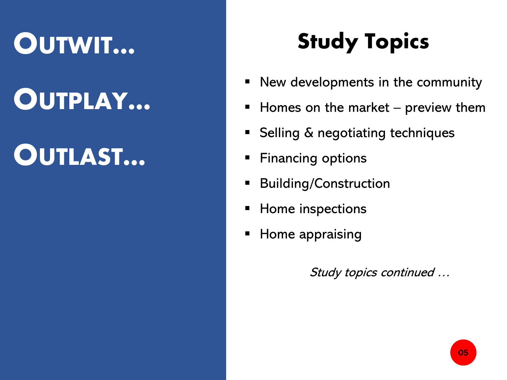## **OUTWIT…**

## **OUTPLAY…**

## **OUTLAST…**

## **Study Topics**

- New developments in the community
- $\blacksquare$  Homes on the market preview them
- Selling & negotiating techniques
- **Financing options**
- Building/Construction
- Home inspections
- Home appraising

Study topics continued …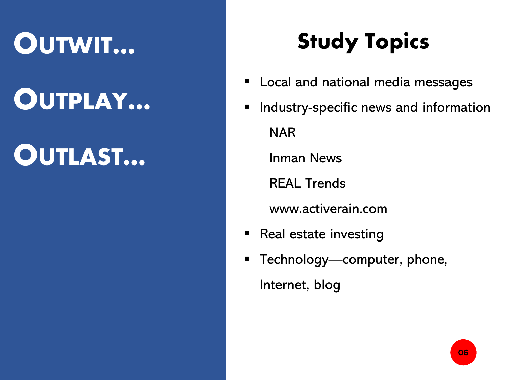## **OUTWIT…**

## **OUTPLAY…**

## **OUTLAST…**

## **Study Topics**

- **EXEC** Local and national media messages
- **Industry-specific news and information** NAR

Inman News

REAL Trends

www.activerain.com

- Real estate investing
- **Technology—computer, phone,** Internet, blog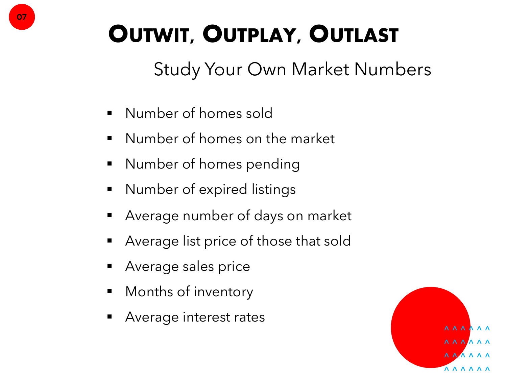Study Your Own Market Numbers

- Number of homes sold
- **Number of homes on the market**
- **•** Number of homes pending
- **Number of expired listings**
- Average number of days on market
- Average list price of those that sold
- Average sales price
- Months of inventory
- Average interest rates

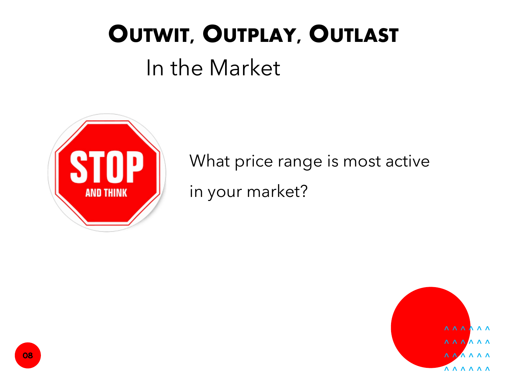## In the Market



What price range is most active in your market?

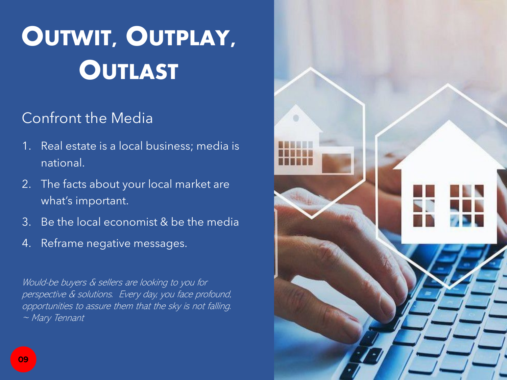### Confront the Media

- 1. Real estate is a local business; media is national.
- 2. The facts about your local market are what's important.
- 3. Be the local economist & be the media
- 4. Reframe negative messages.

Would-be buyers & sellers are looking to you for perspective & solutions. Every day, you face profound, opportunities to assure them that the sky is not falling. ~ Mary Tennant

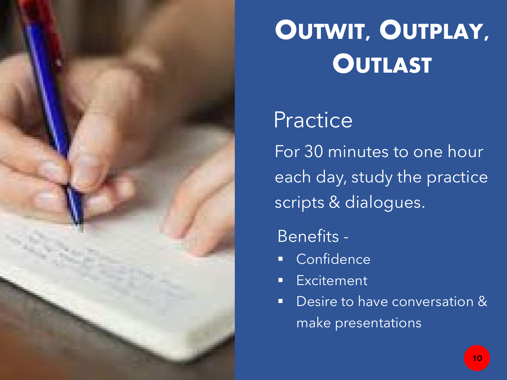

## **Practice**

For 30 minutes to one hour each day, study the practice scripts & dialogues.

### Benefits -

- **Confidence**
- Excitement
- **Desire to have conversation &** make presentations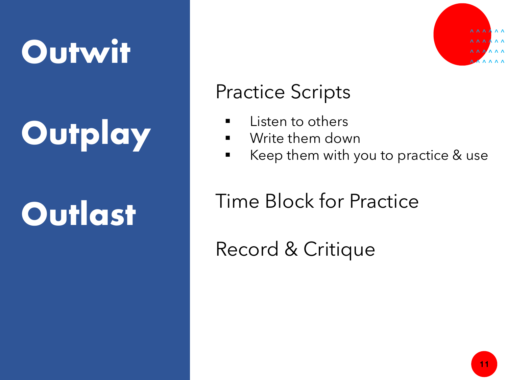# **Outwit**

# **Outplay**

# **Outlast**



### Practice Scripts

- **E** Listen to others
- **Write them down**
- Keep them with you to practice & use

### Time Block for Practice

Record & Critique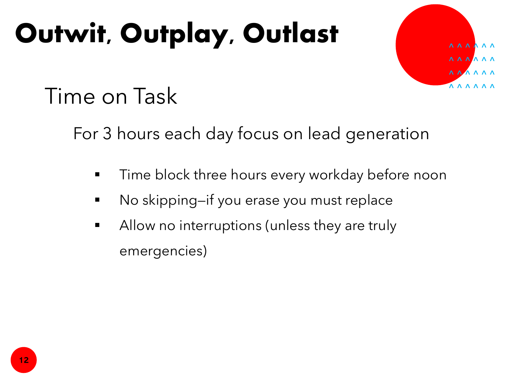# **Outwit, Outplay, Outlast** *Contract*



## Time on Task

For 3 hours each day focus on lead generation

- Time block three hours every workday before noon
- No skipping—if you erase you must replace
- **Allow no interruptions (unless they are truly** emergencies)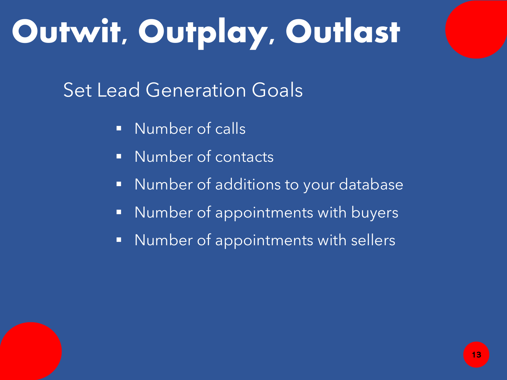# **Outwit, Outplay, Outlast**

Set Lead Generation Goals

- **Number of calls**
- **Number of contacts**
- **Number of additions to your database**
- **Number of appointments with buyers**
- **Number of appointments with sellers**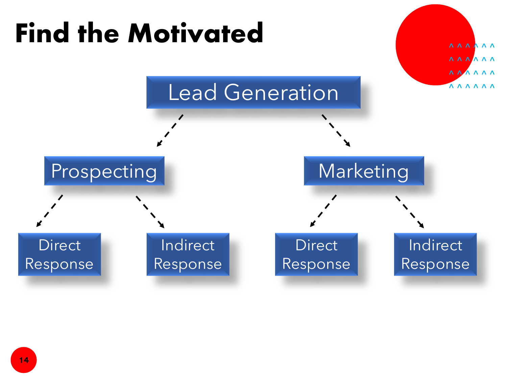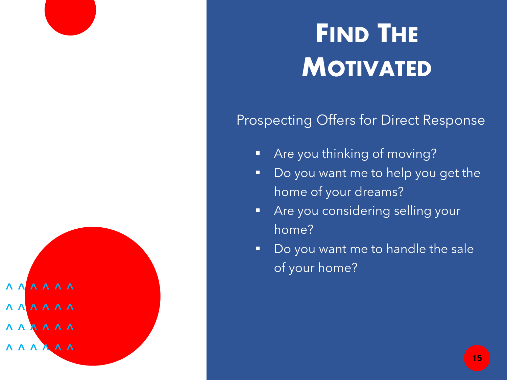

## **FIND THE MOTIVATED**

### Prospecting Offers for Direct Response

- **Are you thinking of moving?**
- Do you want me to help you get the home of your dreams?
- **Are you considering selling your** home?
- Do you want me to handle the sale of your home?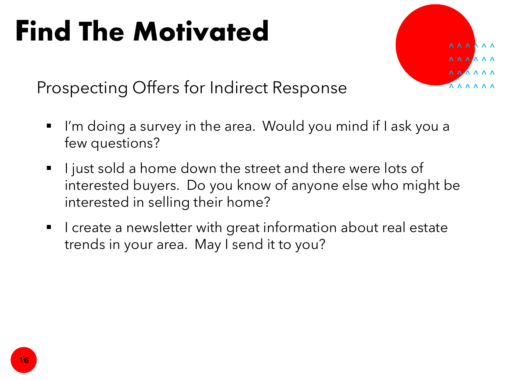# **Find The Motivated**



Prospecting Offers for Indirect Response

- I'm doing a survey in the area. Would you mind if I ask you a few questions?
- I just sold a home down the street and there were lots of interested buyers. Do you know of anyone else who might be interested in selling their home?
- I create a newsletter with great information about real estate trends in your area. May I send it to you?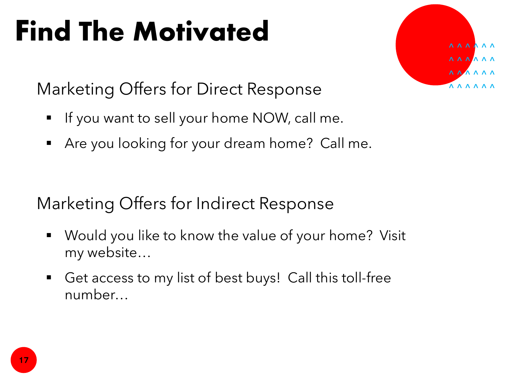# **Find The Motivated**

**AAAAA**  $\begin{array}{c} A & A & A & A & A \\ \end{array}$ **A A A A A**  $\begin{array}{cccccccccccccc} \Lambda & \Lambda & \Lambda & \Lambda & \Lambda & \Lambda & \Lambda \end{array}$ 

Marketing Offers for Direct Response

- If you want to sell your home NOW, call me.
- Are you looking for your dream home? Call me.

Marketing Offers for Indirect Response

- Would you like to know the value of your home? Visit my website…
- Get access to my list of best buys! Call this toll-free number…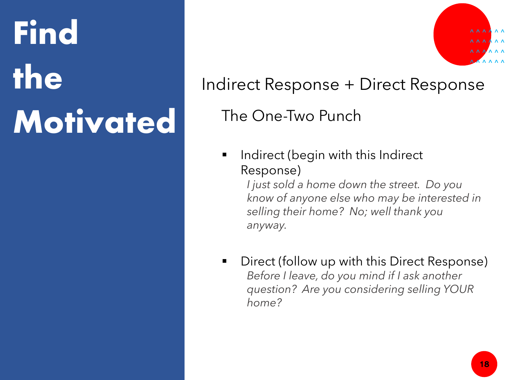# **Find the Motivated**



### Indirect Response + Direct Response

The One-Two Punch

 Indirect (begin with this Indirect Response)

> *I just sold a home down the street. Do you know of anyone else who may be interested in selling their home? No; well thank you anyway.*

 Direct (follow up with this Direct Response) *Before I leave, do you mind if I ask another question? Are you considering selling YOUR home?*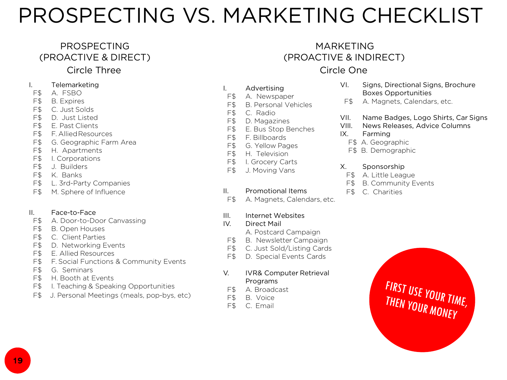## PROSPECTING VS. MARKETING CHECKLIST

#### PROSPECTING (PROACTIVE & DIRECT)

#### Circle Three

#### I. Telemarketing

- F\$ A. FSBO
- F\$ B. Expires
- F\$ C. Just Solds
- F\$ D. Just Listed
- F\$ E. Past Clients
- F\$ F. AlliedResources
- F\$ G. Geographic Farm Area
- F\$ H. Apartments
- F\$ I. Corporations
- F\$ J. Builders
- F\$ K. Banks
- F\$ L. 3rd-Party Companies
- F\$ M. Sphere of Influence

#### II. Face-to-Face

- F\$ A. Door-to-Door Canvassing
- F\$ B. Open Houses
- F\$ C. Client Parties
- F\$ D. Networking Events
- F\$ E. Allied Resources
- F\$ F. Social Functions & Community Events
- F\$ G. Seminars
- F\$ H. Booth at Events
- F\$ I. Teaching & Speaking Opportunities
- F\$ J. Personal Meetings (meals, pop-bys, etc)

#### MARKETING (PROACTIVE & INDIRECT) Circle One

#### I. Advertising

- F\$ A. Newspaper
- F\$ B. Personal Vehicles
- F\$ C. Radio
- F\$ D. Magazines
- F\$ E. Bus Stop Benches
- F\$ F. Billboards
- F\$ G. Yellow Pages
- F\$ H. Television
- F\$ I. Grocery Carts
- F\$ J. Moving Vans

#### II. Promotional Items

F\$ A. Magnets, Calendars, etc.

#### III. Internet Websites

#### IV. Direct Mail

- A. Postcard Campaign
- F\$ B. Newsletter Campaign
- F\$ C. Just Sold/Listing Cards
- F\$ D. Special Events Cards

#### V. IVR& Computer Retrieval Programs

- F\$ A. Broadcast
- F\$ B. Voice
- F\$ C. Email

#### VI. Signs, Directional Signs, Brochure Boxes Opportunities

- F\$ A. Magnets, Calendars, etc.
- VII. Name Badges, Logo Shirts, Car Signs
- VIII. News Releases, Advice Columns
- IX. Farming
	- F\$ A. Geographic
	- F\$ B. Demographic

#### X. Sponsorship

- F\$ A. Little League
- F\$ B. Community Events
- F\$ C. Charities

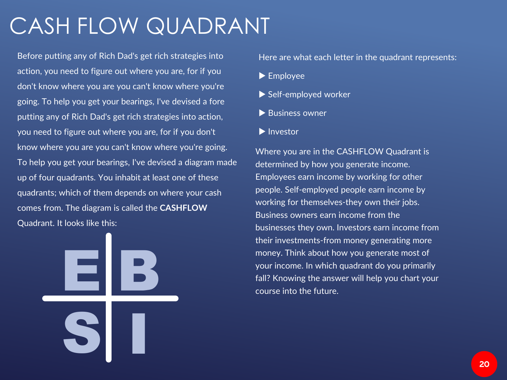## CASH FLOW QUADRANT

Before putting any of Rich Dad's get rich strategies into action, you need to figure out where you are, for if you don't know where you are you can't know where you're going. To help you get your bearings, I've devised a fore putting any of Rich Dad's get rich strategies into action, you need to figure out where you are, for if you don't know where you are you can't know where you're going. To help you get your bearings, I've devised a diagram made up of four quadrants. You inhabit at least one of these quadrants; which of them depends on where your cash comes from. The diagram is called the **CASHFLOW**  Quadrant. It looks like this:

> E B **S** I

Here are what each letter in the quadrant represents:

- ▶ Employee
- Self-employed worker
- ▶ Business owner
- Investor

Where you are in the CASHFLOW Quadrant is determined by how you generate income. Employees earn income by working for other people. Self-employed people earn income by working for themselves-they own their jobs. Business owners earn income from the businesses they own. Investors earn income from their investments-from money generating more money. Think about how you generate most of your income. In which quadrant do you primarily fall? Knowing the answer will help you chart your course into the future.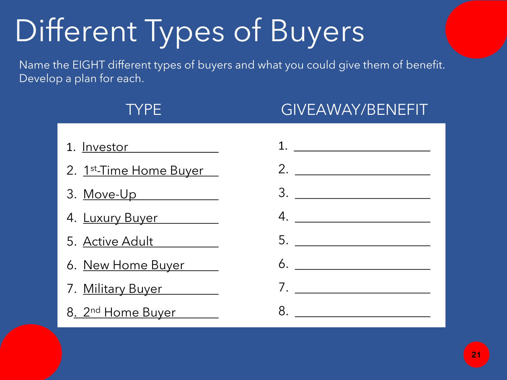# Different Types of Buyers

Name the EIGHT different types of buyers and what you could give them of benefit. Develop a plan for each.

### TYPE GIVEAWAY/BENEFIT

| 1. <u>Investor</u>            | 1. $\qquad \qquad$ |
|-------------------------------|--------------------|
| 2. 1st-Time Home Buyer        | 2. $\qquad \qquad$ |
|                               |                    |
| 4. Luxury Buyer               | $4. \_$            |
| 5. Active Adult               |                    |
| 6. <u>New Home Buyer</u>      |                    |
| 7. Military Buyer             |                    |
| 8. 2 <sup>nd</sup> Home Buyer |                    |